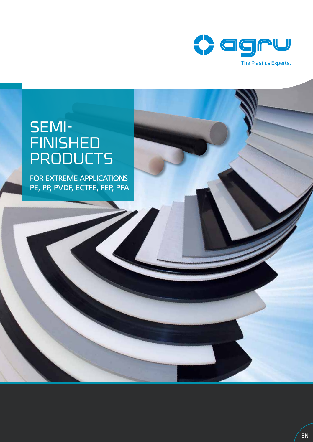

# SEMI-FINISHED **PRODUCTS**

FOR EXTREME APPLICATIONS PE, PP, PVDF, ECTFE, FEP, PFA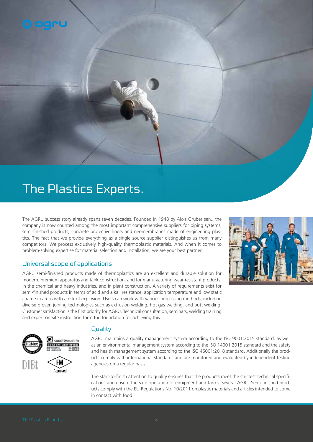

The AGRU success story already spans seven decades. Founded in 1948 by Alois Gruber sen., the company is now counted among the most important comprehensive suppliers for piping systems, semi-finished products, concrete protective liners and geomembranes made of engineering plastics. The fact that we provide everything as a single source supplier distinguishes us from many competitors. We process exclusively high-quality thermoplastic materials. And when it comes to problem-solving expertise for material selection and installation, we are your best partner.

### Universal scope of applications

AGRU semi-finished products made of thermoplastics are an excellent and durable solution for modern, premium apparatus and tank construction, and for manufacturing wear-resistant products. In the chemical and heavy industries, and in plant construction. A variety of requirements exist for semi-finished products in terms of acid and alkali resistance, application temperature and low static charge in areas with a risk of explosion. Users can work with various processing methods, including diverse proven joining technologies such as extrusion welding, hot gas welding, and butt welding. Customer satisfaction is the first priority for AGRU. Technical consultation, seminars, welding training and expert on-site instruction form the foundation for achieving this.







**STEM CERTIFIED** 

Annrover

#### **Quality**

AGRU maintains a quality management system according to the ISO 9001:2015 standard, as well as an environmental management system according to the ISO 14001:2015 standard and the safety and health management system according to the ISO 45001:2018 standard. Additionally the products comply with international standards and are monitored and evaluated by independent testing agencies on a regular basis.

The start-to-finish attention to quality ensures that the products meet the strictest technical specifications and ensure the safe operation of equipment and tanks. Several AGRU Semi-finished products comply with the EU-Regulations No. 10/2011 on plastic materials and articles intended to come in contact with food.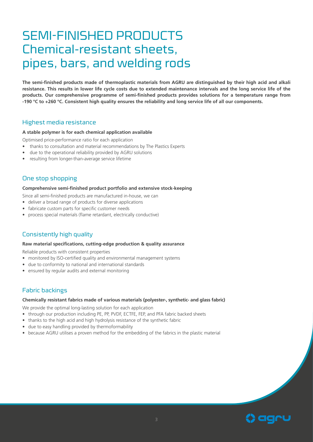### SEMI-FINISHED PRODUCTS Chemical-resistant sheets, pipes, bars, and welding rods

**The semi-finished products made of thermoplastic materials from AGRU are distinguished by their high acid and alkali resistance. This results in lower life cycle costs due to extended maintenance intervals and the long service life of the products. Our comprehensive programme of semi-finished products provides solutions for a temperature range from -190 °C to +260 °C. Consistent high quality ensures the reliability and long service life of all our components.**

#### Highest media resistance

#### **A stable polymer is for each chemical application available**

Optimised price-performance ratio for each application

- thanks to consultation and material recommendations by The Plastics Experts
- due to the operational reliability provided by AGRU solutions
- resulting from longer-than-average service lifetime

#### One stop shopping

#### **Comprehensive semi-finished product portfolio and extensive stock-keeping**

Since all semi-finished products are manufactured in-house, we can

- deliver a broad range of products for diverse applications
- fabricate custom parts for specific customer needs
- process special materials (flame retardant, electrically conductive)

#### Consistently high quality

#### **Raw material specifications, cutting-edge production & quality assurance**

Reliable products with consistent properties

- monitored by ISO-certified quality and environmental management systems
- due to conformity to national and international standards
- ensured by regular audits and external monitoring

#### Fabric backings

#### **Chemically resistant fabrics made of various materials (polyester-, synthetic- and glass fabric)**

We provide the optimal long-lasting solution for each application

- through our production including PE, PP, PVDF, ECTFE, FEP, and PFA fabric backed sheets
- thanks to the high acid and high hydrolysis resistance of the synthetic fabric
- due to easy handling provided by thermoformability
- because AGRU utilises a proven method for the embedding of the fabrics in the plastic material

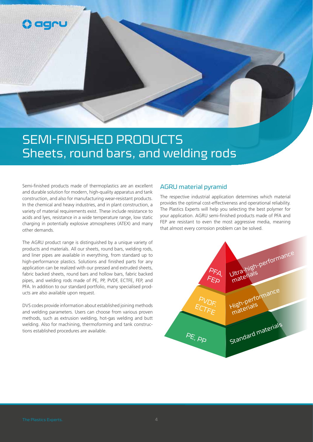

## SEMI-FINISHED PRODUCTS Sheets, round bars, and welding rods

Semi-finished products made of thermoplastics are an excellent and durable solution for modern, high-quality apparatus and tank construction, and also for manufacturing wear-resistant products. In the chemical and heavy industries, and in plant construction, a variety of material requirements exist. These include resistance to acids and lyes, resistance in a wide temperature range, low static charging in potentially explosive atmospheres (ATEX) and many other demands.

The AGRU product range is distinguished by a unique variety of products and materials. All our sheets, round bars, welding rods, and liner pipes are available in everything, from standard up to high-performance plastics. Solutions and finished parts for any application can be realized with our pressed and extruded sheets, fabric backed sheets, round bars and hollow bars, fabric backed pipes, and welding rods made of PE, PP, PVDF, ECTFE, FEP, and PFA. In addition to our standard portfolio, many specialised products are also available upon request.

DVS codes provide information about established joining methods and welding parameters. Users can choose from various proven methods, such as extrusion welding, hot-gas welding and butt welding. Also for machining, thermoforming and tank constructions established procedures are available.

#### AGRU material pyramid

The respective industrial application determines which material provides the optimal cost-effectiveness and operational reliability. The Plastics Experts will help you selecting the best polymer for your application. AGRU semi-finished products made of PFA and FEP are resistant to even the most aggressive media, meaning that almost every corrosion problem can be solved.

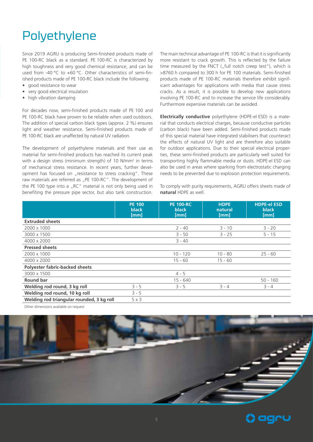# Polyethylene

Since 2019 AGRU is producing Semi-finished products made of PE 100-RC black as a standard. PE 100-RC is characterized by high toughness and very good chemical resistance, and can be used from -40 °C to +60 °C. Other characteristics of semi-finished products made of PE 100-RC black include the following:

- good resistance to wear
- very good electrical insulation
- high vibration damping

For decades now, semi-finished products made of PE 100 and PE 100-RC black have proven to be reliable when used outdoors. The addition of special carbon black types (approx. 2 %) ensures light and weather resistance. Semi-finished products made of PE 100-RC black are unaffected by natural UV radiation.

The development of polyethylene materials and their use as material for semi-finished products has reached its current peak with a design stress (minimum strength) of 10 N/mm2 in terms of mechanical stress resistance. In recent years, further development has focused on "resistance to stress cracking". These raw materials are referred as "PE 100-RC". The development of the PE 100 type into a "RC" material is not only being used in benefiting the pressure pipe sector, but also tank construction.

The main technical advantage of PE 100-RC is that it is significantly more resistant to crack growth. This is reflected by the failure time measured by the FNCT ( $n$  full notch creep test"), which is >8760 h compared to 300 h for PE 100 materials. Semi-finished products made of PE 100-RC materials therefore exhibit significant advantages for applications with media that cause stress cracks. As a result, it is possible to develop new applications involving PE 100-RC and to increase the service life considerably. Furthermore expensive materials can be avoided.

**Electrically conductive** polyethylene (HDPE-el ESD) is a material that conducts electrical charges, because conductive particles (carbon black) have been added. Semi-finished products made of this special material have integrated stabilisers that counteract the effects of natural UV light and are therefore also suitable for outdoor applications. Due to their special electrical properties, these semi-finished products are particularly well suited for transporting highly flammable media or dusts. HDPE-el ESD can also be used in areas where sparking from electrostatic charging needs to be prevented due to explosion protection requirements.

To comply with purity requirements, AGRU offers sheets made of **natural** HDPE as well.

|                                           | <b>PE 100</b><br><b>black</b><br>[mm] | <b>PE 100-RC</b><br>black<br>[mm] | <b>HDPE</b><br>natural<br>[mm] | <b>HDPE-el ESD</b><br><b>black</b><br>[mm] |
|-------------------------------------------|---------------------------------------|-----------------------------------|--------------------------------|--------------------------------------------|
| <b>Extruded sheets</b>                    |                                       |                                   |                                |                                            |
| 2000 x 1000                               |                                       | $2 - 40$                          | $3 - 10$                       | $3 - 20$                                   |
| 3000 x 1500                               |                                       | $3 - 50$                          | $3 - 25$                       | $5 - 15$                                   |
| 4000 x 2000                               |                                       | $3 - 40$                          |                                |                                            |
| <b>Pressed sheets</b>                     |                                       |                                   |                                |                                            |
| 2000 x 1000                               |                                       | $10 - 120$                        | $10 - 80$                      | $25 - 60$                                  |
| 4000 x 2000                               |                                       | $15 - 60$                         | $15 - 60$                      |                                            |
| <b>Polyester fabric-backed sheets</b>     |                                       |                                   |                                |                                            |
| 3000 x 1500                               |                                       | $4 - 5$                           |                                |                                            |
| <b>Round bar</b>                          |                                       | $15 - 640$                        |                                | $50 - 160$                                 |
| Welding rod round, 3 kg roll              | $3 - 5$                               | $3 - 5$                           | $3 - 4$                        | $3 - 4$                                    |
| Welding rod round, 10 kg roll             | $3 - 5$                               |                                   |                                |                                            |
| Welding rod triangular rounded, 3 kg roll | 5x3                                   |                                   |                                |                                            |

Other dimensions available on request



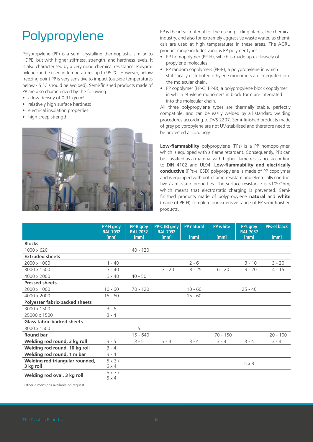# Polypropylene

Polypropylene (PP) is a semi crystalline thermoplastic similar to HDPE, but with higher stiffness, strength, and hardness levels. It is also characterised by a very good chemical resistance. Polypropylene can be used in temperatures up to 95 °C. However, below freezing point PP is very sensitive to impact (outside temperatures below - 5 °C should be avoided). Semi-finished products made of PP are also characterized by the following:

- a low density of 0.91 g/cm<sup>3</sup>
- relatively high surface hardness
- electrical insulation properties
- high creep strength



PP is the ideal material for the use in pickling plants, the chemical industry, and also for extremely aggressive waste water, as chemicals are used at high temperatures in these areas. The AGRU product range includes various PP polymer types:

- PP homopolymer (PP-H), which is made up exclusively of propylene molecules.
- PP random copolymers (PP-R), a polypropylene in which statistically distributed ethylene monomers are integrated into the molecular chain.
- PP copolymer (PP-C, PP-B), a polypropylene block copolymer in which ethylene monomers in block form are integrated into the molecular chain.

All three polypropylene types are thermally stable, perfectly compatible, and can be easily welded by all standard welding procedures according to DVS 2207. Semi-finished products made of grey polypropylene are not UV-stabilised and therefore need to be protected accordingly.

**Low-flammability** polypropylene (PPs) is a PP homopolymer, which is equipped with a flame retardant. Consequently, PPs can be classified as a material with higher flame resistance according to DIN 4102 and UL94. **Low-flammability and electrically conductive** (PPs-el ESD) polypropylene is made of PP copolymer and is equipped with both flame-resistant and electrically conductive / anti-static properties. The surface resistance is ≤106 Ohm, which means that electrostatic charging is prevented. Semifinished products made of polypropylene **natural** and **white** (made of PP-H) complete our extensive range of PP semi-finished products.

|                                       | PP-H grey               | <b>PP-R</b> grey<br><b>RAL 7032</b> | PP-C (B) grey           | <b>PP</b> natural | <b>PP</b> white | PPs grey<br><b>RAL 7037</b> | <b>PPs-el black</b> |
|---------------------------------------|-------------------------|-------------------------------------|-------------------------|-------------------|-----------------|-----------------------------|---------------------|
|                                       | <b>RAL 7032</b><br>[mm] | <b>Imml</b>                         | <b>RAL 7032</b><br>[mm] | [mm]              | <b>Imml</b>     | [mm]                        | [mm]                |
| <b>Blocks</b>                         |                         |                                     |                         |                   |                 |                             |                     |
| 1000 x 620                            |                         | $40 - 120$                          |                         |                   |                 |                             |                     |
| <b>Extruded sheets</b>                |                         |                                     |                         |                   |                 |                             |                     |
| 2000 x 1000                           | $1 - 40$                |                                     |                         | $2 - 6$           |                 | $3 - 10$                    | $3 - 20$            |
| 3000 x 1500                           | $3 - 40$                |                                     | $3 - 20$                | $8 - 25$          | $6 - 20$        | $3 - 20$                    | $4 - 15$            |
| 4000 x 2000                           | $3 - 40$                | $40 - 50$                           |                         |                   |                 |                             |                     |
| <b>Pressed sheets</b>                 |                         |                                     |                         |                   |                 |                             |                     |
| 2000 x 1000                           | $10 - 60$               | $70 - 120$                          |                         | $10 - 60$         |                 | $25 - 40$                   |                     |
| 4000 x 2000                           | $15 - 60$               |                                     |                         | $15 - 60$         |                 |                             |                     |
| <b>Polyester fabric-backed sheets</b> |                         |                                     |                         |                   |                 |                             |                     |
| 3000 x 1500                           | $3 - 6$                 |                                     |                         |                   |                 |                             |                     |
| 25000 x 1500                          | $3 - 4$                 |                                     |                         |                   |                 |                             |                     |
| <b>Glass fabric-backed sheets</b>     |                         |                                     |                         |                   |                 |                             |                     |
| 3000 x 1500                           |                         | 5                                   |                         |                   |                 |                             |                     |
| <b>Round bar</b>                      |                         | $15 - 640$                          |                         |                   | $70 - 150$      |                             | $20 - 100$          |
| Welding rod round, 3 kg roll          | $3 - 5$                 | $3 - 5$                             | $3 - 4$                 | $3 - 4$           | $3 - 4$         | $3 - 4$                     | $3 - 4$             |
| Welding rod round, 10 kg roll         | $3 - 4$                 |                                     |                         |                   |                 |                             |                     |
| Welding rod round, 1 m bar            | $3 - 4$                 |                                     |                         |                   |                 |                             |                     |
| Welding rod triangular rounded,       | 5x3/                    |                                     |                         |                   |                 | 5x3                         |                     |
| 3 kg roll                             | 6 x 4                   |                                     |                         |                   |                 |                             |                     |
| Welding rod oval, 3 kg roll           | 5x3/                    |                                     |                         |                   |                 |                             |                     |
|                                       | 6x4                     |                                     |                         |                   |                 |                             |                     |

Other dimensions available on request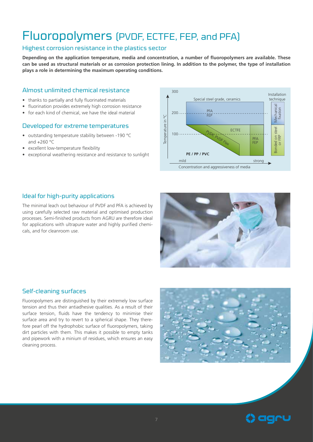### Fluoropolymers (PVDF, ECTFE, FEP, and PFA)

#### Highest corrosion resistance in the plastics sector

**Depending on the application temperature, media and concentration, a number of fluoropolymers are available. These can be used as structural materials or as corrosion protection lining. In addition to the polymer, the type of installation plays a role in determining the maximum operating conditions.**

#### Almost unlimited chemical resistance

- thanks to partially and fully fluorinated materials
- fluorination provides extremely high corrosion resistance
- for each kind of chemical, we have the ideal material

#### Developed for extreme temperatures

- outstanding temperature stability between -190 °C and  $+260$  °C
- excellent low-temperature flexibility
- exceptional weathering resistance and resistance to sunlight



#### Ideal for high-purity applications

The minimal leach out behaviour of PVDF and PFA is achieved by using carefully selected raw material and optimised production processes. Semi-finished products from AGRU are therefore ideal for applications with ultrapure water and highly purified chemicals, and for cleanroom use.



#### Self-cleaning surfaces

Fluoropolymers are distinguished by their extremely low surface tension and thus their antiadhesive qualities. As a result of their surface tension, fluids have the tendency to minimise their surface area and try to revert to a spherical shape. They therefore pearl off the hydrophobic surface of fluoropolymers, taking dirt particles with them. This makes it possible to empty tanks and pipework with a minium of residues, which ensures an easy cleaning process.



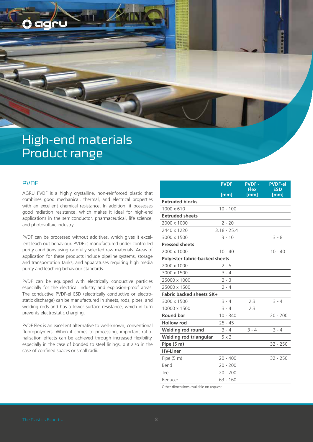

#### PVDF

AGRU PVDF is a highly crystalline, non-reinforced plastic that combines good mechanical, thermal, and electrical properties with an excellent chemical resistance. In addition, it possesses good radiation resistance, which makes it ideal for high-end applications in the semiconductor, pharmaceutical, life science, and photovoltaic industry.

PVDF can be processed without additives, which gives it excellent leach out behaviour. PVDF is manufactured under controlled purity conditions using carefully selected raw materials. Areas of application for these products include pipeline systems, storage and transportation tanks, and apparatuses requiring high media purity and leaching behaviour standards.

PVDF can be equipped with electrically conductive particles especially for the electrical industry and explosion-proof areas. The conductive PVDF-el ESD (electrically conductive or electrostatic discharge) can be manufactured in sheets, rods, pipes, and welding rods and has a lower surface resistance, which in turn prevents electrostatic charging.

PVDF Flex is an excellent alternative to well-known, conventional fluoropolymers. When it comes to processing, important rationalisation effects can be achieved through increased flexibility, especially in the case of bonded to steel linings, but also in the case of confined spaces or small radii.

|                                       | <b>PVDF</b>   | <b>PVDF-</b><br><b>Flex</b> | <b>PVDF-el</b><br><b>ESD</b> |
|---------------------------------------|---------------|-----------------------------|------------------------------|
|                                       | [mm]          | [mm]                        | [mm]                         |
| <b>Extruded blocks</b>                |               |                             |                              |
| 1000 x 610                            | $10 - 100$    |                             |                              |
| <b>Extruded sheets</b>                |               |                             |                              |
| 2000 x 1000                           | $2 - 20$      |                             |                              |
| 2440 x 1220                           | $3.18 - 25.4$ |                             |                              |
| 3000 x 1500                           | $3 - 10$      |                             | $3 - 8$                      |
| <b>Pressed sheets</b>                 |               |                             |                              |
| 2000 x 1000                           | $10 - 40$     |                             | $10 - 40$                    |
| <b>Polyester fabric-backed sheets</b> |               |                             |                              |
| 2000 x 1000                           | $2 - 5$       |                             |                              |
| 3000 x 1500                           | $3 - 4$       |                             |                              |
| 25000 x 1000                          | $2 - 3$       |                             |                              |
| 25000 x 1500                          | $2 - 4$       |                             |                              |
| <b>Fabric backed sheets SK+</b>       |               |                             |                              |
| 3000 x 1500                           | $3 - 4$       | 2.3                         | $3 - 4$                      |
| 10000 x 1500                          | $3 - 4$       | 2.3                         |                              |
| <b>Round bar</b>                      | $10 - 340$    |                             | $20 - 200$                   |
| <b>Hollow rod</b>                     | $25 - 45$     |                             |                              |
| <b>Welding rod round</b>              | $3 - 4$       | $3 - 4$                     | $3 - 4$                      |
| Welding rod triangular                | $5 \times 3$  |                             |                              |
| Pipe (5 m)                            |               |                             | $32 - 250$                   |
| <b>HV-Liner</b>                       |               |                             |                              |
| Pipe $(5 m)$                          | $20 - 400$    |                             | $32 - 250$                   |
| Bend                                  | $20 - 200$    |                             |                              |
| Tee                                   | $20 - 200$    |                             |                              |
| Reducer                               | $63 - 160$    |                             |                              |

Other dimensions available on request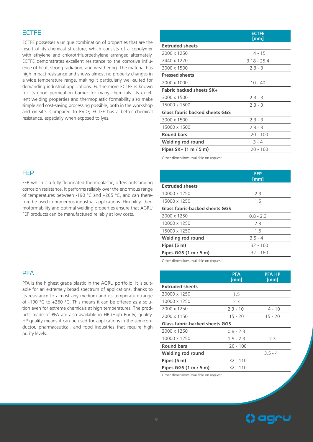#### **ECTEE**

ECTFE possesses a unique combination of properties that are the result of its chemical structure, which consists of a copolymer with ethylene and chlorotrifluoroethylene arranged alternately. ECTFE demonstrates excellent resistance to the corrosive influence of heat, strong radiation, and weathering. The material has high impact resistance and shows almost no property changes in a wide temperature range, making it particularly well-suited for demanding industrial applications. Furthermore ECTFE is known for its good permeation barrier for many chemicals. Its excellent welding properties and thermoplastic formability also make simple and cost-saving processing possible, both in the workshop and on-site. Compared to PVDF, ECTFE has a better chemical resistance, especially when exposed to lyes.

|                                 | <b>ECTFE</b><br>[mm] |
|---------------------------------|----------------------|
| <b>Extruded sheets</b>          |                      |
| 2000 x 1250                     | $4 - 15$             |
| 2440 x 1220                     | 3.18 - 25.4          |
| 3000 x 1500                     | $2.3 - 3$            |
| <b>Pressed sheets</b>           |                      |
| 2000 x 1000                     | $10 - 40$            |
| <b>Fabric backed sheets SK+</b> |                      |
| 3000 x 1500                     | $2.3 - 3$            |
| 15000 x 1500                    | $2.3 - 3$            |
| Glass fabric backed sheets GGS  |                      |
| 3000 x 1500                     | $2.3 - 3$            |
| 15000 x 1500                    | $2.3 - 3$            |
| <b>Round bars</b>               | $20 - 100$           |
| Welding rod round               | $3 - 4$              |

Other dimensions available on request

|                                       | <b>FEP</b><br>[mm] |  |
|---------------------------------------|--------------------|--|
| <b>Extruded sheets</b>                |                    |  |
| 10000 x 1250                          | 23                 |  |
| 15000 x 1250                          | 1.5                |  |
| <b>Glass fabric-backed sheets GGS</b> |                    |  |
| 2000 x 1250                           | $0.8 - 2.3$        |  |
| 10000 x 1250                          | 23                 |  |
| 15000 x 1250                          | 15                 |  |
| <b>Welding rod round</b>              | $35 - 4$           |  |
| Pipes (5 m)                           | $32 - 160$         |  |
| Pipes GGS (1 m / 5 m)                 | 32 - 160           |  |
|                                       |                    |  |

**Pipes SK+ (1 m / 5 m)** 20 - 160

Other dimensions available on request

|                                | <b>PFA</b><br>[mm] | <b>PFA HP</b><br>[mm] |
|--------------------------------|--------------------|-----------------------|
| <b>Extruded sheets</b>         |                    |                       |
| 20000 x 1250                   | 1.5                |                       |
| 10000 x 1250                   | 2.3                |                       |
| 2000 x 1250                    | $2.3 - 10$         | $4 - 10$              |
| 2000 x 1150                    | $15 - 20$          | $15 - 20$             |
| Glass fabric-backed sheets GGS |                    |                       |
| 2000 x 1250                    | $0.8 - 2.3$        |                       |
| 10000 x 1250                   | $1.5 - 2.3$        | 2.3                   |
| <b>Round bars</b>              | $20 - 100$         |                       |
| Welding rod round              |                    | $3.5 - 4$             |
| Pipes (5 m)                    | $32 - 110$         |                       |
| Pipes GGS (1 m / 5 m)          | $32 - 110$         |                       |
|                                |                    |                       |

Other dimensions available on request

### () aaru

#### FEP

FEP, which is a fully fluorinated thermoplastic, offers outstanding corrosion resistance. It performs reliably over the enormous range of temperatures between -190 °C and +205 °C, and can therefore be used in numerous industrial applications. Flexibility, thermoformability and optimal welding properties ensure that AGRU FEP products can be manufactured reliably at low costs.

#### **PFA**

PFA is the highest grade plastic in the AGRU portfolio. It is suitable for an extremely broad spectrum of applications, thanks to its resistance to almost any medium and its temperature range of -190 °C to +260 °C. This means it can be offered as a solution even for extreme chemicals at high temperatures. The products made of PFA are also available in HP (High Purity) quality. HP quality means it can be used for applications in the semiconductor, pharmaceutical, and food industries that require high purity levels.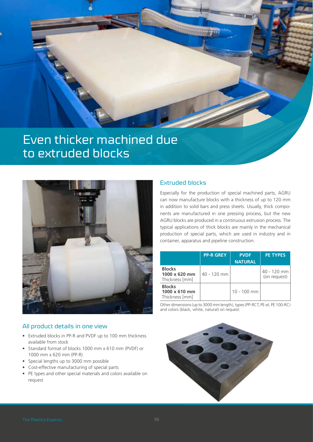

### Even thicker machined due to extruded blocks



#### Extruded blocks

Especially for the production of special machined parts, AGRU can now manufacture blocks with a thickness of up to 120 mm in addition to solid bars and press sheets. Usually, thick components are manufactured in one pressing process, but the new AGRU blocks are produced in a continuous extrusion process. The typical applications of thick blocks are mainly in the mechanical production of special parts, which are used in industry and in container, apparatus and pipeline construction.

|                                                         | <b>PP-R GREY</b> | <b>PVDF</b><br><b>NATURAL</b> | <b>PE TYPES</b>               |
|---------------------------------------------------------|------------------|-------------------------------|-------------------------------|
| <b>Blocks</b><br>$1000 \times 620$ mm<br>Thickness [mm] | 40 - 120 mm      |                               | 40 - 120 mm l<br>(on request) |
| <b>Blocks</b><br>$1000 \times 610$ mm<br>Thickness [mm] |                  | $10 - 100$ mm                 |                               |

Other dimensions (up to 3000 mm length), types (PP-RCT, PE-el, PE 100-RC) and colors (black, white, natural) on request.

#### All product details in one view

- Extruded blocks in PP-R and PVDF up to 100 mm thickness available from stock
- Standard format of blocks 1000 mm x 610 mm (PVDF) or 1000 mm x 620 mm (PP-R)
- Special lengths up to 3000 mm possible
- Cost-effective manufacturing of special parts
- PE types and other special materials and colors available on request

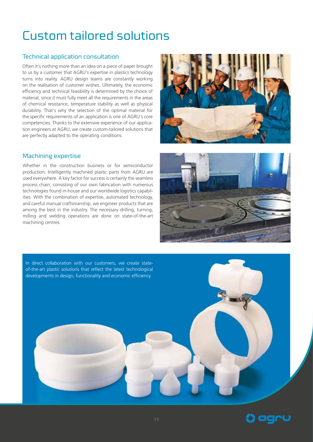# Custom tailored solutions

#### Technical application consultation

Often it's nothing more than an idea on a piece of paper brought to us by a customer that AGRU's expertise in plastics technology turns into reality. AGRU design teams are constantly working on the realisation of customer wishes. Ultimately, the economic efficiency and technical feasibility is determined by the choice of material, since it must fully meet all the requirements in the areas of chemical resistance, temperature stability as well as physical durability. That's why the selection of the optimal material for the specific requirements of an application is one of AGRU's core competencies. Thanks to the extensive experience of our application engineers at AGRU, we create custom-tailored solutions that are perfectly adapted to the operating conditions.

#### Machining expertise

Whether in the construction business or for semiconductor production: Intelligently machined plastic parts from AGRU are used everywhere. A key factor for success is certainly the seamless process chain, consisting of our own fabrication with numerous technologies found in-house and our worldwide logistics capabilities. With the combination of expertise, automated technology, and careful manual craftsmanship, we engineer products that are among the best in the industry. The necessary drilling, turning, milling and welding operations are done on state-of-the-art machining centres.







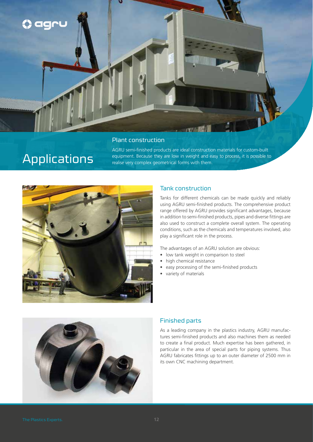

#### Plant construction

### Applications

AGRU semi-finished products are ideal construction materials for custom-built equipment. Because they are low in weight and easy to process, it is possible to realise very complex geometrical forms with them.



#### Tank construction

Tanks for different chemicals can be made quickly and reliably using AGRU semi-finished products. The comprehensive product range offered by AGRU provides significant advantages, because in addition to semi-finished products, pipes and diverse fittings are also used to construct a complete overall system. The operating conditions, such as the chemicals and temperatures involved, also play a significant role in the process.

The advantages of an AGRU solution are obvious:

- low tank weight in comparison to steel
- high chemical resistance
- easy processing of the semi-finished products
- variety of materials



#### Finished parts

As a leading company in the plastics industry, AGRU manufactures semi-finished products and also machines them as needed to create a final product. Much expertise has been gathered, in particular in the area of special parts for piping systems. Thus AGRU fabricates fittings up to an outer diameter of 2500 mm in its own CNC machining department.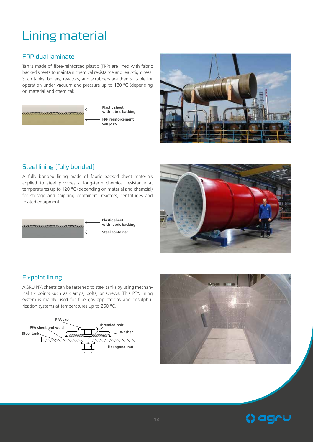# Lining material

#### FRP dual laminate

Tanks made of fibre-reinforced plastic (FRP) are lined with fabric backed sheets to maintain chemical resistance and leak-tightness. Such tanks, boilers, reactors, and scrubbers are then suitable for operation under vacuum and pressure up to 180 °C (depending on material and chemical).





#### Steel lining (fully bonded)

A fully bonded lining made of fabric backed sheet materials applied to steel provides a long-term chemical resistance at temperatures up to 120 °C (depending on material and chemcial) for storage and shipping containers, reactors, centrifuges and related equipment.





#### Fixpoint lining

AGRU PFA sheets can be fastened to steel tanks by using mechanical fix points such as clamps, bolts, or screws. This PFA lining system is mainly used for flue gas applications and desulphurization systems at temperatures up to 260 °C.





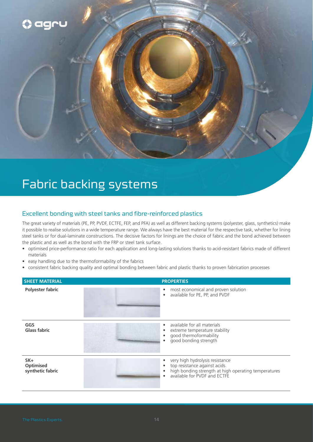

### Fabric backing systems

#### Excellent bonding with steel tanks and fibre-reinforced plastics

The great variety of materials (PE, PP, PVDF, ECTFE, FEP, and PFA) as well as different backing systems (polyester, glass, synthetics) make it possible to realise solutions in a wide temperature range. We always have the best material for the respective task, whether for lining steel tanks or for dual-laminate constructions. The decisive factors for linings are the choice of fabric and the bond achieved between the plastic and as well as the bond with the FRP or steel tank surface.

- optimised price-performance ratio for each application and long-lasting solutions thanks to acid-resistant fabrics made of different materials
- easy handling due to the thermoformability of the fabrics
- consistent fabric backing quality and optimal bonding between fabric and plastic thanks to proven fabrication processes

| <b>SHEET MATERIAL</b>                   | <b>PROPERTIES</b>                                                                                                                                            |
|-----------------------------------------|--------------------------------------------------------------------------------------------------------------------------------------------------------------|
| <b>Polyester fabric</b>                 | most economical and proven solution<br>٠<br>available for PE, PP, and PVDF<br>$\bullet$                                                                      |
| GGS<br><b>Glass fabric</b>              | available for all materials<br>٠<br>extreme temperature stability<br>good thermoformability<br>good bonding strength                                         |
| $SK +$<br>Optimised<br>synthetic fabric | very high hydrolysis resistance<br>top resistance against acids<br>high bonding strength at high operating temperatures<br>٠<br>available for PVDF and ECTFE |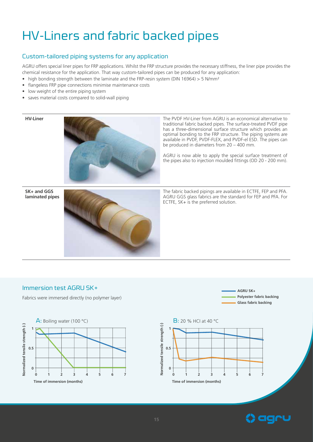# HV-Liners and fabric backed pipes

#### Custom-tailored piping systems for any application

AGRU offers special liner pipes for FRP applications. Whilst the FRP structure provides the necessary stiffness, the liner pipe provides the chemical resistance for the application. That way custom-tailored pipes can be produced for any application:

- high bonding strength between the laminate and the FRP-resin system (DIN 16964)  $> 5$  N/mm<sup>2</sup>
- flangeless FRP pipe connections minimise maintenance costs
- low weight of the entire piping system
- saves material costs compared to solid-wall piping



**HV-Liner** The PVDF HV-Liner from AGRU is an economical alternative to traditional fabric backed pipes. The surface-treated PVDF pipe has a three-dimensional surface structure which provides an optimal bonding to the FRP structure. The piping systems are available in PVDF, PVDF-FLEX, and PVDF-el ESD. The pipes can be produced in diameters from 20 – 400 mm.

> AGRU is now able to apply the special surface treatment of the pipes also to injection moulded fittings (OD 20 - 200 mm).

**SK+ and GGS laminated pipes**



The fabric backed pipings are available in ECTFE, FEP and PFA. AGRU GGS glass fabrics are the standard for FEP and PFA. For ECTFE, SK+ is the preferred solution.

#### Immersion test AGRU SK+

Fabrics were immersed directly (no polymer layer)